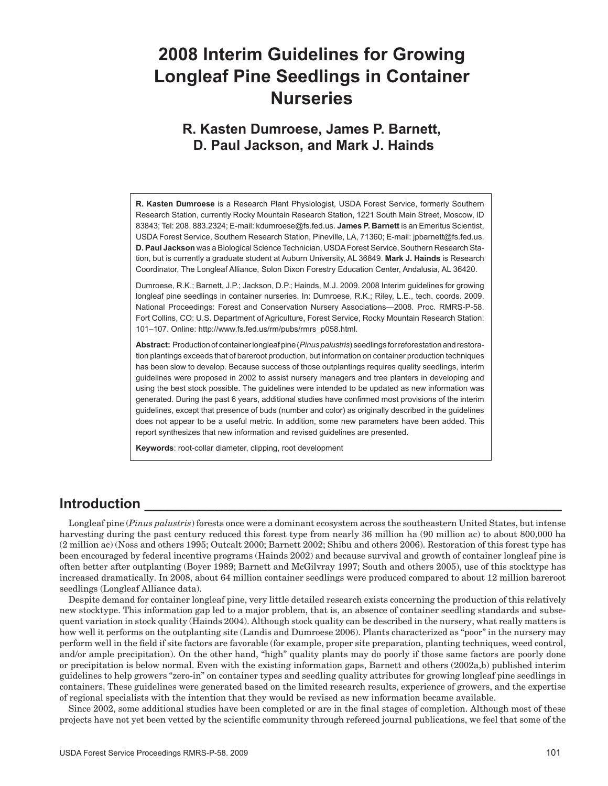# **2008 Interim Guidelines for Growing Longleaf Pine Seedlings in Container Nurseries**

## **R. Kasten Dumroese, James P. Barnett, D. Paul Jackson, and Mark J. Hainds**

**R. Kasten Dumroese** is a Research Plant Physiologist, USDA Forest Service, formerly Southern Research Station, currently Rocky Mountain Research Station, 1221 South Main Street, Moscow, ID 83843; Tel: 208. 883.2324; E-mail: kdumroese@fs.fed.us. **James P. Barnett** is an Emeritus Scientist, USDA Forest Service, Southern Research Station, Pineville, LA, 71360; E-mail: jpbarnett@fs.fed.us. **D. Paul Jackson** was a Biological Science Technician, USDA Forest Service, Southern Research Station, but is currently a graduate student at Auburn University, AL 36849. **Mark J. Hainds** is Research Coordinator, The Longleaf Alliance, Solon Dixon Forestry Education Center, Andalusia, AL 36420.

Dumroese, R.K.; Barnett, J.P.; Jackson, D.P.; Hainds, M.J. 2009. 2008 Interim guidelines for growing longleaf pine seedlings in container nurseries. In: Dumroese, R.K.; Riley, L.E., tech. coords. 2009. National Proceedings: Forest and Conservation Nursery Associations—2008. Proc. RMRS-P-58. Fort Collins, CO: U.S. Department of Agriculture, Forest Service, Rocky Mountain Research Station: 101–107. Online: http://www.fs.fed.us/rm/pubs/rmrs\_p058.html.

**Abstract:** Production of container longleaf pine (*Pinus palustris*) seedlings for reforestation and restoration plantings exceeds that of bareroot production, but information on container production techniques has been slow to develop. Because success of those outplantings requires quality seedlings, interim guidelines were proposed in 2002 to assist nursery managers and tree planters in developing and using the best stock possible. The guidelines were intended to be updated as new information was generated. During the past 6 years, additional studies have confirmed most provisions of the interim guidelines, except that presence of buds (number and color) as originally described in the guidelines does not appear to be a useful metric. In addition, some new parameters have been added. This report synthesizes that new information and revised guidelines are presented.

**Keywords**: root-collar diameter, clipping, root development

### **Introduction**

Longleaf pine (*Pinus palustris*) forests once were a dominant ecosystem across the southeastern United States, but intense harvesting during the past century reduced this forest type from nearly 36 million ha (90 million ac) to about 800,000 ha (2 million ac) (Noss and others 1995; Outcalt 2000; Barnett 2002; Shibu and others 2006). Restoration of this forest type has been encouraged by federal incentive programs (Hainds 2002) and because survival and growth of container longleaf pine is often better after outplanting (Boyer 1989; Barnett and McGilvray 1997; South and others 2005), use of this stocktype has increased dramatically. In 2008, about 64 million container seedlings were produced compared to about 12 million bareroot seedlings (Longleaf Alliance data).

Despite demand for container longleaf pine, very little detailed research exists concerning the production of this relatively new stocktype. This information gap led to a major problem, that is, an absence of container seedling standards and subsequent variation in stock quality (Hainds 2004). Although stock quality can be described in the nursery, what really matters is how well it performs on the outplanting site (Landis and Dumroese 2006). Plants characterized as "poor" in the nursery may perform well in the field if site factors are favorable (for example, proper site preparation, planting techniques, weed control, and/or ample precipitation). On the other hand, "high" quality plants may do poorly if those same factors are poorly done or precipitation is below normal. Even with the existing information gaps, Barnett and others (2002a,b) published interim guidelines to help growers "zero-in" on container types and seedling quality attributes for growing longleaf pine seedlings in containers. These guidelines were generated based on the limited research results, experience of growers, and the expertise of regional specialists with the intention that they would be revised as new information became available.

Since 2002, some additional studies have been completed or are in the final stages of completion. Although most of these projects have not yet been vetted by the scientific community through refereed journal publications, we feel that some of the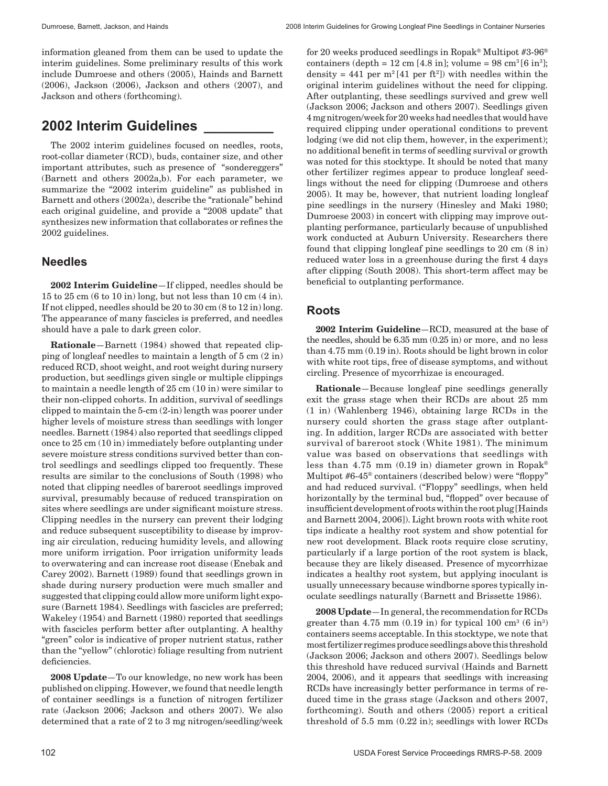Dumroese, Barnett, Jackson, and Hainds 2008 Interim Guidelines for Growing Longleaf Pine Seedlings in Container Nurseries

information gleaned from them can be used to update the interim guidelines. Some preliminary results of this work include Dumroese and others (2005), Hainds and Barnett (2006), Jackson (2006), Jackson and others (2007), and Jackson and others (forthcoming).

## **2002 Interim Guidelines \_\_\_\_\_\_\_\_\_**

The 2002 interim guidelines focused on needles, roots, root-collar diameter (RCD), buds, container size, and other important attributes, such as presence of "sondereggers" (Barnett and others 2002a,b). For each parameter, we summarize the "2002 interim guideline" as published in Barnett and others (2002a), describe the "rationale" behind each original guideline, and provide a "2008 update" that synthesizes new information that collaborates or refines the 2002 guidelines.

### **Needles**

**2002 Interim Guideline**—If clipped, needles should be 15 to 25 cm (6 to 10 in) long, but not less than 10 cm (4 in). If not clipped, needles should be 20 to 30 cm (8 to 12 in) long. The appearance of many fascicles is preferred, and needles should have a pale to dark green color.

**Rationale**—Barnett (1984) showed that repeated clipping of longleaf needles to maintain a length of 5 cm (2 in) reduced RCD, shoot weight, and root weight during nursery production, but seedlings given single or multiple clippings to maintain a needle length of 25 cm (10 in) were similar to their non-clipped cohorts. In addition, survival of seedlings clipped to maintain the 5-cm (2-in) length was poorer under higher levels of moisture stress than seedlings with longer needles. Barnett (1984) also reported that seedlings clipped once to 25 cm (10 in) immediately before outplanting under severe moisture stress conditions survived better than control seedlings and seedlings clipped too frequently. These results are similar to the conclusions of South (1998) who noted that clipping needles of bareroot seedlings improved survival, presumably because of reduced transpiration on sites where seedlings are under significant moisture stress. Clipping needles in the nursery can prevent their lodging and reduce subsequent susceptibility to disease by improving air circulation, reducing humidity levels, and allowing more uniform irrigation. Poor irrigation uniformity leads to overwatering and can increase root disease (Enebak and Carey 2002). Barnett (1989) found that seedlings grown in shade during nursery production were much smaller and suggested that clipping could allow more uniform light exposure (Barnett 1984). Seedlings with fascicles are preferred; Wakeley (1954) and Barnett (1980) reported that seedlings with fascicles perform better after outplanting. A healthy "green" color is indicative of proper nutrient status, rather than the "yellow" (chlorotic) foliage resulting from nutrient deficiencies.

**2008 Update**—To our knowledge, no new work has been published on clipping. However, we found that needle length of container seedlings is a function of nitrogen fertilizer rate (Jackson 2006; Jackson and others 2007). We also determined that a rate of 2 to 3 mg nitrogen/seedling/week for 20 weeks produced seedlings in Ropak® Multipot #3-96® containers (depth =  $12 \text{ cm}$  [4.8 in]; volume =  $98 \text{ cm}^3$  [6 in<sup>3</sup>]; density =  $441$  per  $m^2[41$  per ft<sup>2</sup>]) with needles within the original interim guidelines without the need for clipping. After outplanting, these seedlings survived and grew well (Jackson 2006; Jackson and others 2007). Seedlings given 4 mg nitrogen/week for 20 weeks had needles that would have required clipping under operational conditions to prevent lodging (we did not clip them, however, in the experiment); no additional benefit in terms of seedling survival or growth was noted for this stocktype. It should be noted that many other fertilizer regimes appear to produce longleaf seedlings without the need for clipping (Dumroese and others 2005). It may be, however, that nutrient loading longleaf pine seedlings in the nursery (Hinesley and Maki 1980; Dumroese 2003) in concert with clipping may improve outplanting performance, particularly because of unpublished work conducted at Auburn University. Researchers there found that clipping longleaf pine seedlings to 20 cm (8 in) reduced water loss in a greenhouse during the first 4 days after clipping (South 2008). This short-term affect may be beneficial to outplanting performance.

### **Roots**

**2002 Interim Guideline**—RCD, measured at the base of the needles, should be 6.35 mm (0.25 in) or more, and no less than 4.75 mm (0.19 in). Roots should be light brown in color with white root tips, free of disease symptoms, and without circling. Presence of mycorrhizae is encouraged.

**Rationale**—Because longleaf pine seedlings generally exit the grass stage when their RCDs are about 25 mm (1 in) (Wahlenberg 1946), obtaining large RCDs in the nursery could shorten the grass stage after outplanting. In addition, larger RCDs are associated with better survival of bareroot stock (White 1981). The minimum value was based on observations that seedlings with less than 4.75 mm  $(0.19 \text{ in})$  diameter grown in Ropak® Multipot #6-45® containers (described below) were "floppy" and had reduced survival. ("Floppy" seedlings, when held horizontally by the terminal bud, "flopped" over because of insufficient development of roots within the root plug [Hainds and Barnett 2004, 2006]). Light brown roots with white root tips indicate a healthy root system and show potential for new root development. Black roots require close scrutiny, particularly if a large portion of the root system is black, because they are likely diseased. Presence of mycorrhizae indicates a healthy root system, but applying inoculant is usually unnecessary because windborne spores typically inoculate seedlings naturally (Barnett and Brissette 1986).

**2008 Update**—In general, the recommendation for RCDs greater than  $4.75$  mm  $(0.19 \text{ in})$  for typical  $100 \text{ cm}^3$   $(6 \text{ in}^3)$ containers seems acceptable. In this stocktype, we note that most fertilizer regimes produce seedlings above this threshold (Jackson 2006; Jackson and others 2007). Seedlings below this threshold have reduced survival (Hainds and Barnett 2004, 2006), and it appears that seedlings with increasing RCDs have increasingly better performance in terms of reduced time in the grass stage (Jackson and others 2007, forthcoming). South and others (2005) report a critical threshold of 5.5 mm (0.22 in); seedlings with lower RCDs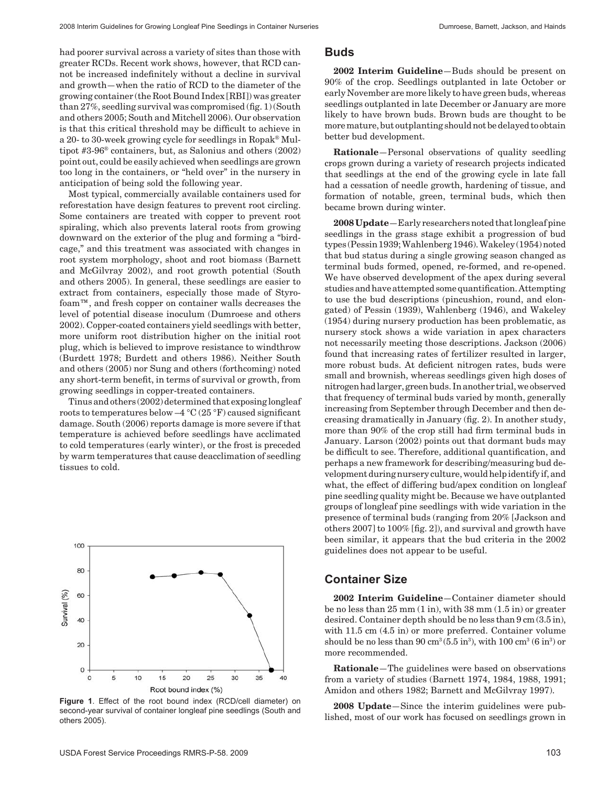had poorer survival across a variety of sites than those with greater RCDs. Recent work shows, however, that RCD cannot be increased indefinitely without a decline in survival and growth—when the ratio of RCD to the diameter of the growing container (the Root Bound Index [RBI]) was greater than 27%, seedling survival was compromised (fig. 1) (South and others 2005; South and Mitchell 2006). Our observation is that this critical threshold may be difficult to achieve in a 20- to 30-week growing cycle for seedlings in Ropak® Multipot #3-96® containers, but, as Salonius and others (2002) point out, could be easily achieved when seedlings are grown too long in the containers, or "held over" in the nursery in anticipation of being sold the following year.

Most typical, commercially available containers used for reforestation have design features to prevent root circling. Some containers are treated with copper to prevent root spiraling, which also prevents lateral roots from growing downward on the exterior of the plug and forming a "birdcage," and this treatment was associated with changes in root system morphology, shoot and root biomass (Barnett and McGilvray 2002), and root growth potential (South and others 2005). In general, these seedlings are easier to extract from containers, especially those made of Styrofoam™, and fresh copper on container walls decreases the level of potential disease inoculum (Dumroese and others 2002). Copper-coated containers yield seedlings with better, more uniform root distribution higher on the initial root plug, which is believed to improve resistance to windthrow (Burdett 1978; Burdett and others 1986). Neither South and others (2005) nor Sung and others (forthcoming) noted any short-term benefit, in terms of survival or growth, from growing seedlings in copper-treated containers.

Tinus and others (2002) determined that exposing longleaf roots to temperatures below –4 °C (25 °F) caused significant damage. South (2006) reports damage is more severe if that temperature is achieved before seedlings have acclimated to cold temperatures (early winter), or the frost is preceded by warm temperatures that cause deacclimation of seedling tissues to cold.



**Figure 1**. Effect of the root bound index (RCD/cell diameter) on second-year survival of container longleaf pine seedlings (South and others 2005).

#### **Buds**

**2002 Interim Guideline**—Buds should be present on 90% of the crop. Seedlings outplanted in late October or early November are more likely to have green buds, whereas seedlings outplanted in late December or January are more likely to have brown buds. Brown buds are thought to be more mature, but outplanting should not be delayed to obtain better bud development.

**Rationale**—Personal observations of quality seedling crops grown during a variety of research projects indicated that seedlings at the end of the growing cycle in late fall had a cessation of needle growth, hardening of tissue, and formation of notable, green, terminal buds, which then became brown during winter.

**2008 Update**—Early researchers noted that longleaf pine seedlings in the grass stage exhibit a progression of bud types (Pessin 1939; Wahlenberg 1946). Wakeley (1954) noted that bud status during a single growing season changed as terminal buds formed, opened, re-formed, and re-opened. We have observed development of the apex during several studies and have attempted some quantification. Attempting to use the bud descriptions (pincushion, round, and elongated) of Pessin (1939), Wahlenberg (1946), and Wakeley (1954) during nursery production has been problematic, as nursery stock shows a wide variation in apex characters not necessarily meeting those descriptions. Jackson (2006) found that increasing rates of fertilizer resulted in larger, more robust buds. At deficient nitrogen rates, buds were small and brownish, whereas seedlings given high doses of nitrogen had larger, green buds. In another trial, we observed that frequency of terminal buds varied by month, generally increasing from September through December and then decreasing dramatically in January (fig. 2). In another study, more than 90% of the crop still had firm terminal buds in January. Larson (2002) points out that dormant buds may be difficult to see. Therefore, additional quantification, and perhaps a new framework for describing/measuring bud development during nursery culture, would help identify if, and what, the effect of differing bud/apex condition on longleaf pine seedling quality might be. Because we have outplanted groups of longleaf pine seedlings with wide variation in the presence of terminal buds (ranging from 20% [Jackson and others 2007] to 100% [fig. 2]), and survival and growth have been similar, it appears that the bud criteria in the 2002 guidelines does not appear to be useful.

### **Container Size**

**2002 Interim Guideline**—Container diameter should be no less than  $25 \text{ mm} (1 \text{ in})$ , with  $38 \text{ mm} (1.5 \text{ in})$  or greater desired. Container depth should be no less than 9 cm (3.5 in), with 11.5 cm  $(4.5 \text{ in})$  or more preferred. Container volume should be no less than  $90 \text{ cm}^3 (5.5 \text{ in}^3)$ , with  $100 \text{ cm}^3 (6 \text{ in}^3)$  or more recommended.

**Rationale**—The guidelines were based on observations from a variety of studies (Barnett 1974, 1984, 1988, 1991; Amidon and others 1982; Barnett and McGilvray 1997).

**2008 Update**—Since the interim guidelines were published, most of our work has focused on seedlings grown in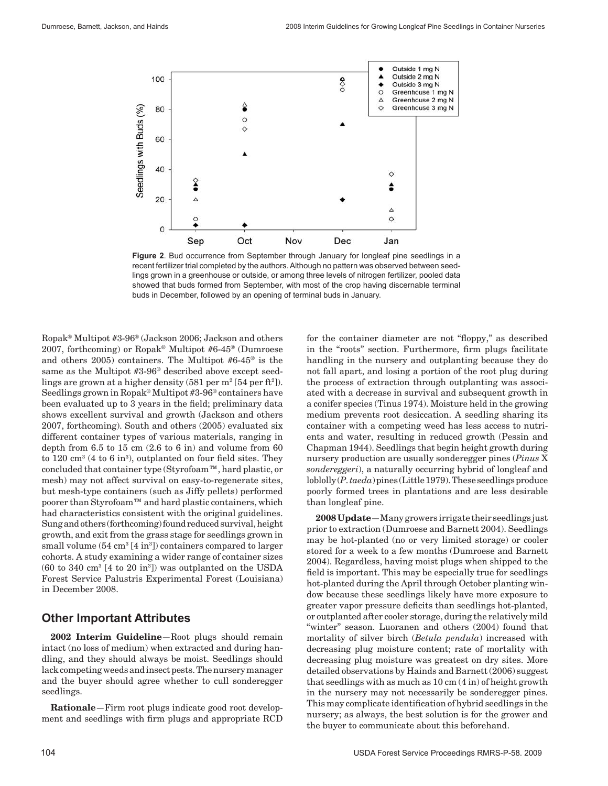

**Figure 2**. Bud occurrence from September through January for longleaf pine seedlings in a recent fertilizer trial completed by the authors. Although no pattern was observed between seedlings grown in a greenhouse or outside, or among three levels of nitrogen fertilizer, pooled data showed that buds formed from September, with most of the crop having discernable terminal buds in December, followed by an opening of terminal buds in January.

Ropak® Multipot #3-96® (Jackson 2006; Jackson and others 2007, forthcoming) or Ropak® Multipot #6-45® (Dumroese and others 2005) containers. The Multipot #6-45® is the same as the Multipot #3-96® described above except seedlings are grown at a higher density  $(581 \text{ per m}^2[54 \text{ per ft}^2])$ . Seedlings grown in Ropak® Multipot #3-96® containers have been evaluated up to 3 years in the field; preliminary data shows excellent survival and growth (Jackson and others 2007, forthcoming). South and others (2005) evaluated six different container types of various materials, ranging in depth from  $6.5$  to  $15$  cm  $(2.6$  to  $6$  in) and volume from  $60$ to  $120 \text{ cm}^3$  (4 to 6 in<sup>3</sup>), outplanted on four field sites. They concluded that container type (Styrofoam™, hard plastic, or mesh) may not affect survival on easy-to-regenerate sites, but mesh-type containers (such as Jiffy pellets) performed poorer than Styrofoam™ and hard plastic containers, which had characteristics consistent with the original guidelines. Sung and others (forthcoming) found reduced survival, height growth, and exit from the grass stage for seedlings grown in small volume (54 cm<sup>3</sup> [4 in<sup>3</sup>]) containers compared to larger cohorts. A study examining a wider range of container sizes (60 to 340 cm<sup>3</sup> [4 to 20 in<sup>3</sup> ]) was outplanted on the USDA Forest Service Palustris Experimental Forest (Louisiana) in December 2008.

#### **Other Important Attributes**

**2002 Interim Guideline**—Root plugs should remain intact (no loss of medium) when extracted and during handling, and they should always be moist. Seedlings should lack competing weeds and insect pests. The nursery manager and the buyer should agree whether to cull sonderegger seedlings.

**Rationale**—Firm root plugs indicate good root development and seedlings with firm plugs and appropriate RCD for the container diameter are not "floppy," as described in the "roots" section. Furthermore, firm plugs facilitate handling in the nursery and outplanting because they do not fall apart, and losing a portion of the root plug during the process of extraction through outplanting was associated with a decrease in survival and subsequent growth in a conifer species (Tinus 1974). Moisture held in the growing medium prevents root desiccation. A seedling sharing its container with a competing weed has less access to nutrients and water, resulting in reduced growth (Pessin and Chapman 1944). Seedlings that begin height growth during nursery production are usually sonderegger pines (*Pinus* X *sondereggeri*), a naturally occurring hybrid of longleaf and loblolly (*P. taeda*) pines (Little 1979). These seedlings produce poorly formed trees in plantations and are less desirable than longleaf pine.

**2008 Update**—Many growers irrigate their seedlings just prior to extraction (Dumroese and Barnett 2004). Seedlings may be hot-planted (no or very limited storage) or cooler stored for a week to a few months (Dumroese and Barnett 2004). Regardless, having moist plugs when shipped to the field is important. This may be especially true for seedlings hot-planted during the April through October planting window because these seedlings likely have more exposure to greater vapor pressure deficits than seedlings hot-planted, or outplanted after cooler storage, during the relatively mild "winter" season. Luoranen and others (2004) found that mortality of silver birch (*Betula pendula*) increased with decreasing plug moisture content; rate of mortality with decreasing plug moisture was greatest on dry sites. More detailed observations by Hainds and Barnett (2006) suggest that seedlings with as much as 10 cm (4 in) of height growth in the nursery may not necessarily be sonderegger pines. This may complicate identification of hybrid seedlings in the nursery; as always, the best solution is for the grower and the buyer to communicate about this beforehand.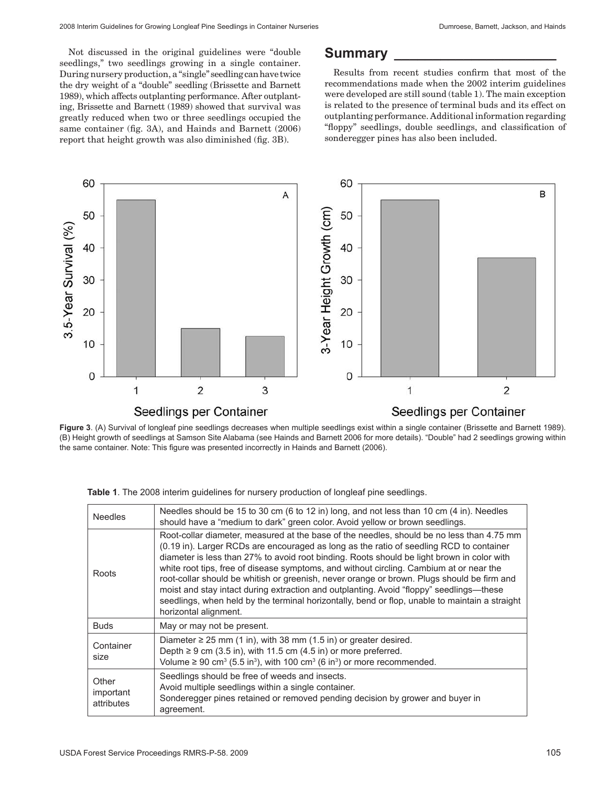Not discussed in the original guidelines were "double seedlings," two seedlings growing in a single container. During nursery production, a "single" seedling can have twice the dry weight of a "double" seedling (Brissette and Barnett 1989), which affects outplanting performance. After outplanting, Brissette and Barnett (1989) showed that survival was greatly reduced when two or three seedlings occupied the same container (fig. 3A), and Hainds and Barnett (2006) report that height growth was also diminished (fig. 3B).

### **Summary \_\_\_\_\_\_\_\_\_\_\_\_\_\_\_\_\_\_\_\_\_**

Results from recent studies confirm that most of the recommendations made when the 2002 interim guidelines were developed are still sound (table 1). The main exception is related to the presence of terminal buds and its effect on outplanting performance. Additional information regarding "floppy" seedlings, double seedlings, and classification of sonderegger pines has also been included.



**Figure 3**. (A) Survival of longleaf pine seedlings decreases when multiple seedlings exist within a single container (Brissette and Barnett 1989). (B) Height growth of seedlings at Samson Site Alabama (see Hainds and Barnett 2006 for more details). "Double" had 2 seedlings growing within the same container. Note: This figure was presented incorrectly in Hainds and Barnett (2006).

| <b>Needles</b>                   | Needles should be 15 to 30 cm (6 to 12 in) long, and not less than 10 cm (4 in). Needles<br>should have a "medium to dark" green color. Avoid yellow or brown seedlings.                                                                                                                                                                                                                                                                                                                                                                                                                                                                                                                          |
|----------------------------------|---------------------------------------------------------------------------------------------------------------------------------------------------------------------------------------------------------------------------------------------------------------------------------------------------------------------------------------------------------------------------------------------------------------------------------------------------------------------------------------------------------------------------------------------------------------------------------------------------------------------------------------------------------------------------------------------------|
| Roots                            | Root-collar diameter, measured at the base of the needles, should be no less than 4.75 mm<br>(0.19 in). Larger RCDs are encouraged as long as the ratio of seedling RCD to container<br>diameter is less than 27% to avoid root binding. Roots should be light brown in color with<br>white root tips, free of disease symptoms, and without circling. Cambium at or near the<br>root-collar should be whitish or greenish, never orange or brown. Plugs should be firm and<br>moist and stay intact during extraction and outplanting. Avoid "floppy" seedlings—these<br>seedlings, when held by the terminal horizontally, bend or flop, unable to maintain a straight<br>horizontal alignment. |
| <b>Buds</b>                      | May or may not be present.                                                                                                                                                                                                                                                                                                                                                                                                                                                                                                                                                                                                                                                                        |
| Container<br>size                | Diameter $\geq$ 25 mm (1 in), with 38 mm (1.5 in) or greater desired.<br>Depth $\geq 9$ cm (3.5 in), with 11.5 cm (4.5 in) or more preferred.<br>Volume $\geq$ 90 cm <sup>3</sup> (5.5 in <sup>3</sup> ), with 100 cm <sup>3</sup> (6 in <sup>3</sup> ) or more recommended.                                                                                                                                                                                                                                                                                                                                                                                                                      |
| Other<br>important<br>attributes | Seedlings should be free of weeds and insects.<br>Avoid multiple seedlings within a single container.<br>Sonderegger pines retained or removed pending decision by grower and buyer in<br>agreement.                                                                                                                                                                                                                                                                                                                                                                                                                                                                                              |

**Table 1**. The 2008 interim guidelines for nursery production of longleaf pine seedlings.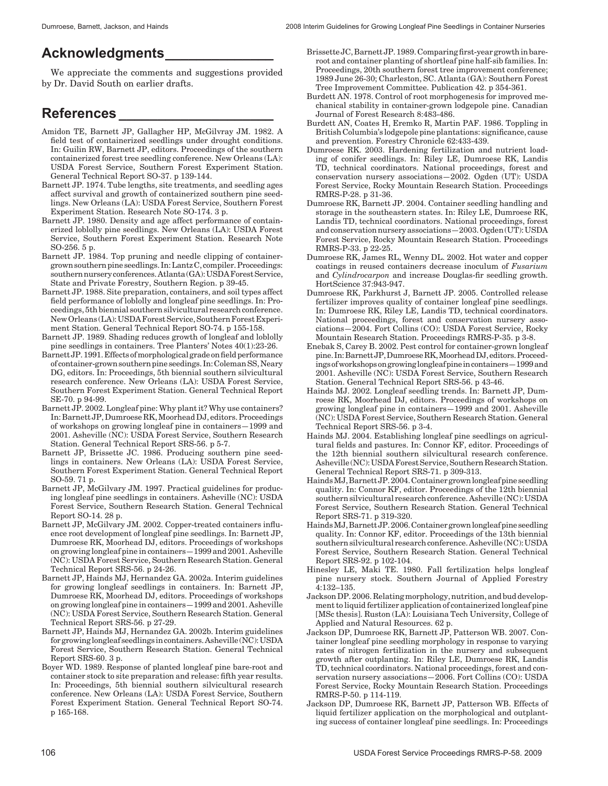# **Acknowledgments\_\_\_\_\_\_\_\_\_\_\_\_\_\_**

We appreciate the comments and suggestions provided by Dr. David South on earlier drafts.

# **References \_\_\_\_\_\_\_\_\_\_\_\_\_\_\_\_\_\_\_\_**

- Amidon TE, Barnett JP, Gallagher HP, McGilvray JM. 1982. A field test of containerized seedlings under drought conditions. In: Guilin RW, Barnett JP, editors. Proceedings of the southern containerized forest tree seedling conference. New Orleans (LA): USDA Forest Service, Southern Forest Experiment Station. General Technical Report SO-37. p 139-144.
- Barnett JP. 1974. Tube lengths, site treatments, and seedling ages affect survival and growth of containerized southern pine seedlings. New Orleans (LA): USDA Forest Service, Southern Forest Experiment Station. Research Note SO-174. 3 p.
- Barnett JP. 1980. Density and age affect performance of containerized loblolly pine seedlings. New Orleans (LA): USDA Forest Service, Southern Forest Experiment Station. Research Note SO-256. 5 p.
- Barnett JP. 1984. Top pruning and needle clipping of containergrown southern pine seedlings. In: Lantz C, compiler. Proceedings: southern nursery conferences. Atlanta (GA): USDA Forest Service, State and Private Forestry, Southern Region. p 39-45.
- Barnett JP. 1988. Site preparation, containers, and soil types affect field performance of loblolly and longleaf pine seedlings. In: Proceedings, 5th biennial southern silvicultural research conference. New Orleans (LA): USDA Forest Service, Southern Forest Experiment Station. General Technical Report SO-74. p 155-158.
- Barnett JP. 1989. Shading reduces growth of longleaf and loblolly pine seedlings in containers. Tree Planters' Notes 40(1):23-26.
- Barnett JP. 1991. Effects of morphological grade on field performance of container-grown southern pine seedings. In: Coleman SS, Neary DG, editors. In: Proceedings, 5th biennial southern silvicultural research conference. New Orleans (LA): USDA Forest Service, Southern Forest Experiment Station. General Technical Report SE-70. p 94-99.
- Barnett JP. 2002. Longleaf pine: Why plant it? Why use containers? In: Barnett JP, Dumroese RK, Moorhead DJ, editors. Proceedings of workshops on growing longleaf pine in containers—1999 and 2001. Asheville (NC): USDA Forest Service, Southern Research Station. General Technical Report SRS-56. p 5-7.
- Barnett JP, Brissette JC. 1986. Producing southern pine seedlings in containers. New Orleans (LA): USDA Forest Service, Southern Forest Experiment Station. General Technical Report SO-59. 71 p.
- Barnett JP, McGilvary JM. 1997. Practical guidelines for producing longleaf pine seedlings in containers. Asheville (NC): USDA Forest Service, Southern Research Station. General Technical Report SO-14. 28 p.
- Barnett JP, McGilvary JM. 2002. Copper-treated containers influence root development of longleaf pine seedlings. In: Barnett JP, Dumroese RK, Moorhead DJ, editors. Proceedings of workshops on growing longleaf pine in containers—1999 and 2001. Asheville (NC): USDA Forest Service, Southern Research Station. General Technical Report SRS-56. p 24-26.
- Barnett JP, Hainds MJ, Hernandez GA. 2002a. Interim guidelines for growing longleaf seedlings in containers. In: Barnett JP, Dumroese RK, Moorhead DJ, editors. Proceedings of workshops on growing longleaf pine in containers—1999 and 2001. Asheville (NC): USDA Forest Service, Southern Research Station. General Technical Report SRS-56. p 27-29.
- Barnett JP, Hainds MJ, Hernandez GA. 2002b. Interim guidelines for growing longleaf seedlings in containers. Asheville (NC): USDA Forest Service, Southern Research Station. General Technical Report SRS-60. 3 p.
- Boyer WD. 1989. Response of planted longleaf pine bare-root and container stock to site preparation and release: fifth year results. In: Proceedings, 5th biennial southern silvicultural research conference. New Orleans (LA): USDA Forest Service, Southern Forest Experiment Station. General Technical Report SO-74. p 165-168.
- Brissette JC, Barnett JP. 1989. Comparing first-year growth in bareroot and container planting of shortleaf pine half-sib families. In: Proceedings, 20th southern forest tree improvement conference; 1989 June 26-30; Charleston, SC. Atlanta (GA): Southern Forest Tree Improvement Committee. Publication 42. p 354-361.
- Burdett AN. 1978. Control of root morphogenesis for improved mechanical stability in container-grown lodgepole pine. Canadian Journal of Forest Research 8:483-486.
- Burdett AN, Coates H, Eremko R, Martin PAF. 1986. Toppling in British Columbia's lodgepole pine plantations: significance, cause and prevention. Forestry Chronicle 62:433-439.
- Dumroese RK. 2003. Hardening fertilization and nutrient loading of conifer seedlings. In: Riley LE, Dumroese RK, Landis TD, technical coordinators. National proceedings, forest and conservation nursery associations—2002. Ogden (UT): USDA Forest Service, Rocky Mountain Research Station. Proceedings RMRS-P-28. p 31-36.
- Dumroese RK, Barnett JP. 2004. Container seedling handling and storage in the southeastern states. In: Riley LE, Dumroese RK, Landis TD, technical coordinators. National proceedings, forest and conservation nursery associations—2003. Ogden (UT): USDA Forest Service, Rocky Mountain Research Station. Proceedings RMRS-P-33. p 22-25.
- Dumroese RK, James RL, Wenny DL. 2002. Hot water and copper coatings in reused containers decrease inoculum of *Fusarium*  and *Cylindrocarpon* and increase Douglas-fir seedling growth. HortScience 37:943-947.
- Dumroese RK, Parkhurst J, Barnett JP. 2005. Controlled release fertilizer improves quality of container longleaf pine seedlings. In: Dumroese RK, Riley LE, Landis TD, technical coordinators. National proceedings, forest and conservation nursery associations—2004. Fort Collins (CO): USDA Forest Service, Rocky Mountain Research Station. Proceedings RMRS-P-35. p 3-8.
- Enebak S, Carey B. 2002. Pest control for container-grown longleaf pine. In: Barnett JP, Dumroese RK, Moorhead DJ, editors. Proceedings of workshops on growing longleaf pine in containers—1999 and 2001. Asheville (NC): USDA Forest Service, Southern Research Station. General Technical Report SRS-56. p 43-46.
- Hainds MJ. 2002. Longleaf seedling trends. In: Barnett JP, Dumroese RK, Moorhead DJ, editors. Proceedings of workshops on growing longleaf pine in containers—1999 and 2001. Asheville (NC): USDA Forest Service, Southern Research Station. General Technical Report SRS-56. p 3-4.
- Hainds MJ. 2004. Establishing longleaf pine seedlings on agricultural fields and pastures. In: Connor KF, editor. Proceedings of the 12th biennial southern silvicultural research conference. Asheville (NC): USDA Forest Service, Southern Research Station. General Technical Report SRS-71. p 309-313.
- Hainds MJ, Barnett JP. 2004. Container grown longleaf pine seedling quality. In: Connor KF, editor. Proceedings of the 12th biennial southern silvicultural research conference. Asheville (NC): USDA Forest Service, Southern Research Station. General Technical Report SRS-71. p 319-320.
- Hainds MJ, Barnett JP. 2006. Container grown longleaf pine seedling quality. In: Connor KF, editor. Proceedings of the 13th biennial southern silvicultural research conference. Asheville (NC): USDA Forest Service, Southern Research Station. General Technical Report SRS-92. p 102-104.
- Hinesley LE, Maki TE. 1980. Fall fertilization helps longleaf pine nursery stock. Southern Journal of Applied Forestry  $4.132 - 135$
- Jackson DP. 2006. Relating morphology, nutrition, and bud development to liquid fertilizer application of containerized longleaf pine [MSc thesis]. Ruston (LA): Louisiana Tech University, College of Applied and Natural Resources. 62 p.
- Jackson DP, Dumroese RK, Barnett JP, Patterson WB. 2007. Container longleaf pine seedling morphology in response to varying rates of nitrogen fertilization in the nursery and subsequent growth after outplanting. In: Riley LE, Dumroese RK, Landis TD, technical coordinators. National proceedings, forest and conservation nursery associations—2006. Fort Collins (CO): USDA Forest Service, Rocky Mountain Research Station. Proceedings RMRS-P-50. p 114-119.
- Jackson DP, Dumroese RK, Barnett JP, Patterson WB. Effects of liquid fertilizer application on the morphological and outplanting success of container longleaf pine seedlings. In: Proceedings